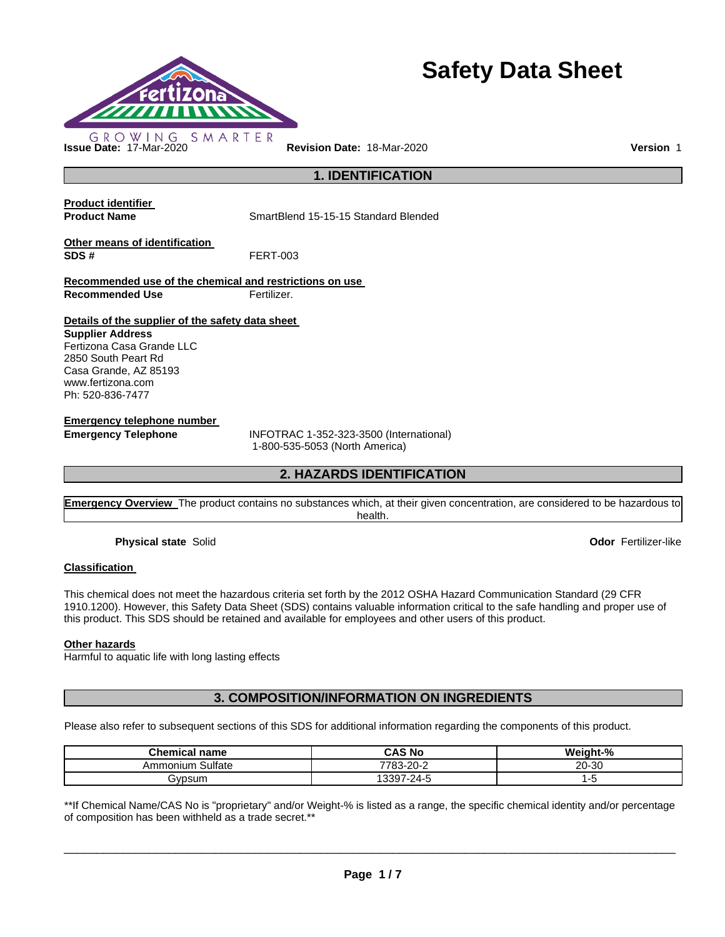

# **Safety Data Sheet**

**1. IDENTIFICATION** 

**Product identifier** 

**Product Name SmartBlend 15-15-15 Standard Blended** 

**Other means of identification SDS #** FERT-003

**Recommended use of the chemical and restrictions on use Recommended Use Fertilizer.** 

**Details of the supplier of the safety data sheet** 

**Supplier Address** Fertizona Casa Grande LLC 2850 South Peart Rd Casa Grande, AZ 85193 www.fertizona.com Ph: 520-836-7477

**Emergency telephone number** 

**Emergency Telephone** INFOTRAC 1-352-323-3500 (International) 1-800-535-5053 (North America)

# **2. HAZARDS IDENTIFICATION**

**Emergency Overview** The product contains no substances which, at their given concentration, are considered to be hazardous to health.

**Physical state** Solid **Odor** Fertilizer-like

#### **Classification**

This chemical does not meet the hazardous criteria set forth by the 2012 OSHA Hazard Communication Standard (29 CFR 1910.1200). However, this Safety Data Sheet (SDS) contains valuable information critical to the safe handling and proper use of this product. This SDS should be retained and available for employees and other users of this product.

#### **Other hazards**

Harmful to aquatic life with long lasting effects

**3. COMPOSITION/INFORMATION ON INGREDIENTS** 

Please also refer to subsequent sections of this SDS for additional information regarding the components of this product.

| <b>Chemical name</b> | CAS No          | Weight-% |
|----------------------|-----------------|----------|
| Sulfate<br>Ammonium  | 7783-20-2       | 20-30    |
| ivpsum               | $-24 -$<br>397، | ٠.       |

\*\*If Chemical Name/CAS No is "proprietary" and/or Weight-% is listed as a range, the specific chemical identity and/or percentage of composition has been withheld as a trade secret.\*\*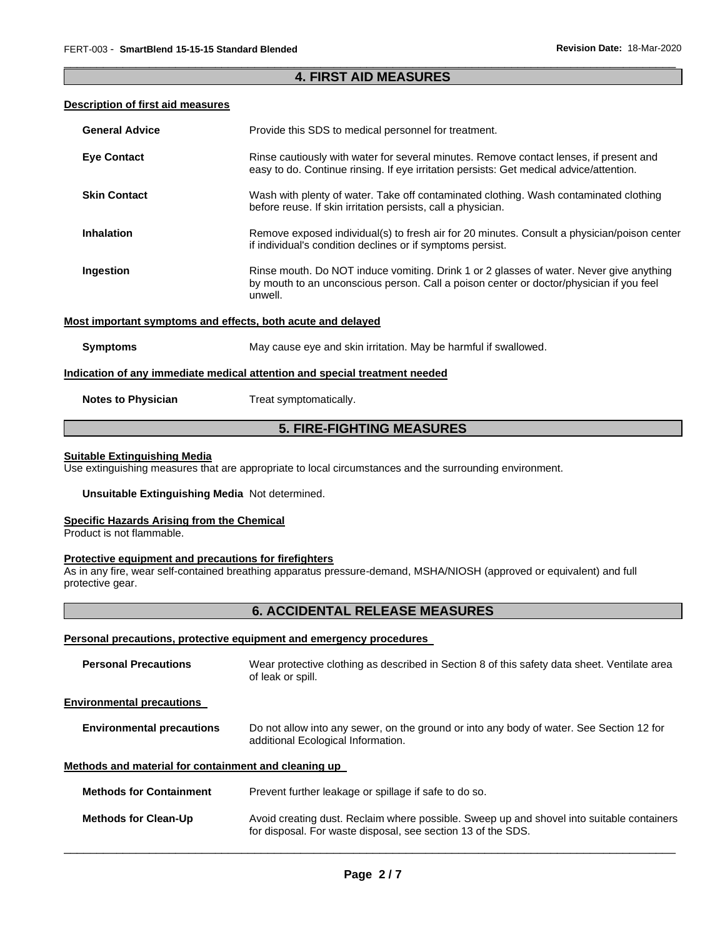#### \_\_\_\_\_\_\_\_\_\_\_\_\_\_\_\_\_\_\_\_\_\_\_\_\_\_\_\_\_\_\_\_\_\_\_\_\_\_\_\_\_\_\_\_\_\_\_\_\_\_\_\_\_\_\_\_\_\_\_\_\_\_\_\_\_\_\_\_\_\_\_\_\_\_\_\_\_\_\_\_\_\_\_\_\_\_\_\_\_\_\_\_\_ **4. FIRST AID MEASURES**

#### **Description of first aid measures**

| <b>General Advice</b>                                       | Provide this SDS to medical personnel for treatment.                                                                                                                                          |
|-------------------------------------------------------------|-----------------------------------------------------------------------------------------------------------------------------------------------------------------------------------------------|
| <b>Eye Contact</b>                                          | Rinse cautiously with water for several minutes. Remove contact lenses, if present and<br>easy to do. Continue rinsing. If eye irritation persists: Get medical advice/attention.             |
| <b>Skin Contact</b>                                         | Wash with plenty of water. Take off contaminated clothing. Wash contaminated clothing<br>before reuse. If skin irritation persists, call a physician.                                         |
| <b>Inhalation</b>                                           | Remove exposed individual(s) to fresh air for 20 minutes. Consult a physician/poison center<br>if individual's condition declines or if symptoms persist.                                     |
| Ingestion                                                   | Rinse mouth. Do NOT induce vomiting. Drink 1 or 2 glasses of water. Never give anything<br>by mouth to an unconscious person. Call a poison center or doctor/physician if you feel<br>unwell. |
| Most important symptoms and effects, both acute and delayed |                                                                                                                                                                                               |
| <b>Symptoms</b>                                             | May cause eye and skin irritation. May be harmful if swallowed.                                                                                                                               |
|                                                             | Indication of any immediate medical attention and special treatment needed                                                                                                                    |
| <b>Notes to Physician</b>                                   | Treat symptomatically.                                                                                                                                                                        |

# **5. FIRE-FIGHTING MEASURES**

#### **Suitable Extinguishing Media**

Use extinguishing measures that are appropriate to local circumstances and the surrounding environment.

#### **Unsuitable Extinguishing Media** Not determined.

#### **Specific Hazards Arising from the Chemical**

Product is not flammable.

#### **Protective equipment and precautions for firefighters**

As in any fire, wear self-contained breathing apparatus pressure-demand, MSHA/NIOSH (approved or equivalent) and full protective gear.

# **6. ACCIDENTAL RELEASE MEASURES**

#### **Personal precautions, protective equipment and emergency procedures**

| <b>Personal Precautions</b>                          | Wear protective clothing as described in Section 8 of this safety data sheet. Ventilate area<br>of leak or spill.                                         |  |  |
|------------------------------------------------------|-----------------------------------------------------------------------------------------------------------------------------------------------------------|--|--|
| <b>Environmental precautions</b>                     |                                                                                                                                                           |  |  |
| <b>Environmental precautions</b>                     | Do not allow into any sewer, on the ground or into any body of water. See Section 12 for<br>additional Ecological Information.                            |  |  |
| Methods and material for containment and cleaning up |                                                                                                                                                           |  |  |
| <b>Methods for Containment</b>                       | Prevent further leakage or spillage if safe to do so.                                                                                                     |  |  |
| <b>Methods for Clean-Up</b>                          | Avoid creating dust. Reclaim where possible. Sweep up and shovel into suitable containers<br>for disposal. For waste disposal, see section 13 of the SDS. |  |  |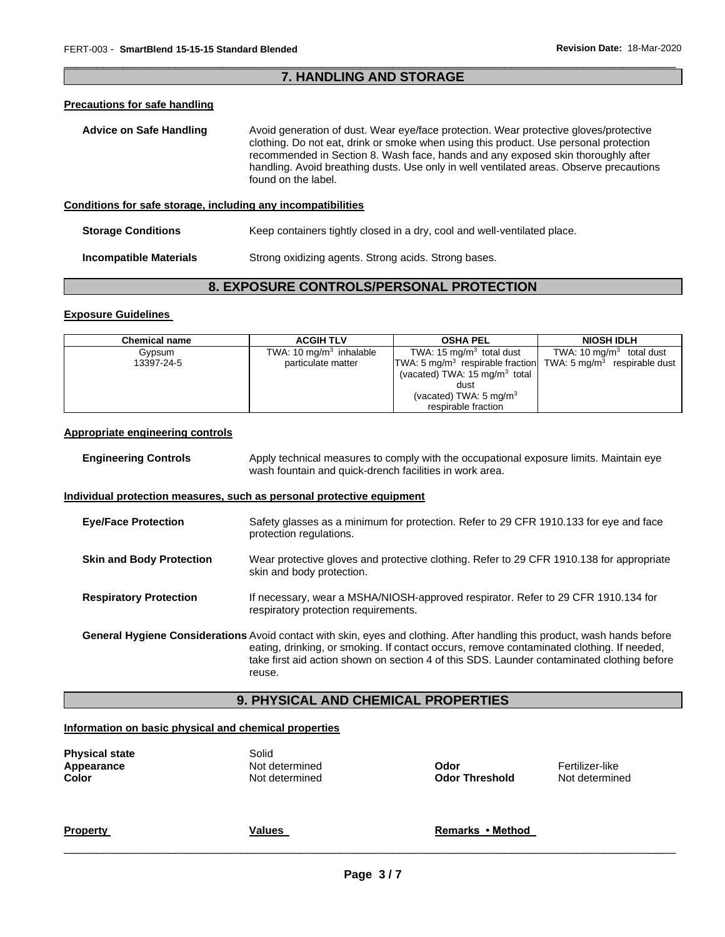#### \_\_\_\_\_\_\_\_\_\_\_\_\_\_\_\_\_\_\_\_\_\_\_\_\_\_\_\_\_\_\_\_\_\_\_\_\_\_\_\_\_\_\_\_\_\_\_\_\_\_\_\_\_\_\_\_\_\_\_\_\_\_\_\_\_\_\_\_\_\_\_\_\_\_\_\_\_\_\_\_\_\_\_\_\_\_\_\_\_\_\_\_\_ **7. HANDLING AND STORAGE**

### **Precautions for safe handling**

| <b>Advice on Safe Handling</b>                               | Avoid generation of dust. Wear eye/face protection. Wear protective gloves/protective<br>clothing. Do not eat, drink or smoke when using this product. Use personal protection<br>recommended in Section 8. Wash face, hands and any exposed skin thoroughly after<br>handling. Avoid breathing dusts. Use only in well ventilated areas. Observe precautions<br>found on the label. |  |  |
|--------------------------------------------------------------|--------------------------------------------------------------------------------------------------------------------------------------------------------------------------------------------------------------------------------------------------------------------------------------------------------------------------------------------------------------------------------------|--|--|
| Conditions for safe storage, including any incompatibilities |                                                                                                                                                                                                                                                                                                                                                                                      |  |  |

| <b>Storage Conditions</b>     | Keep containers tightly closed in a dry, cool and well-ventilated place. |
|-------------------------------|--------------------------------------------------------------------------|
| <b>Incompatible Materials</b> | Strong oxidizing agents. Strong acids. Strong bases.                     |

# **8. EXPOSURE CONTROLS/PERSONAL PROTECTION**

#### **Exposure Guidelines**

| <b>Chemical name</b> | <b>ACGIH TLV</b>          | <b>OSHA PEL</b>                                                                       | <b>NIOSH IDLH</b>          |
|----------------------|---------------------------|---------------------------------------------------------------------------------------|----------------------------|
| Gypsum               | TWA: 10 $mg/m3$ inhalable | TWA: $15 \,\mathrm{mq/m^3}$ total dust                                                | TWA: 10 $mq/m3$ total dust |
| 13397-24-5           | particulate matter        | TWA: 5 mg/m <sup>3</sup> respirable fraction TWA: 5 mg/m <sup>3</sup> respirable dust |                            |
|                      |                           | (vacated) TWA: $15 \text{ mg/m}^3$ total                                              |                            |
|                      |                           | dust                                                                                  |                            |
|                      |                           | (vacated) TWA: $5 \text{ mg/m}^3$                                                     |                            |
|                      |                           | respirable fraction                                                                   |                            |

#### **Appropriate engineering controls**

| <b>Engineering Controls</b>     | Apply technical measures to comply with the occupational exposure limits. Maintain eye<br>wash fountain and quick-drench facilities in work area.                                                                                                                                                                              |  |
|---------------------------------|--------------------------------------------------------------------------------------------------------------------------------------------------------------------------------------------------------------------------------------------------------------------------------------------------------------------------------|--|
|                                 | <u>Individual protection measures, such as personal protective equipment</u>                                                                                                                                                                                                                                                   |  |
| <b>Eve/Face Protection</b>      | Safety glasses as a minimum for protection. Refer to 29 CFR 1910.133 for eye and face<br>protection regulations.                                                                                                                                                                                                               |  |
| <b>Skin and Body Protection</b> | Wear protective gloves and protective clothing. Refer to 29 CFR 1910.138 for appropriate<br>skin and body protection.                                                                                                                                                                                                          |  |
| <b>Respiratory Protection</b>   | If necessary, wear a MSHA/NIOSH-approved respirator. Refer to 29 CFR 1910.134 for<br>respiratory protection requirements.                                                                                                                                                                                                      |  |
|                                 | General Hygiene Considerations Avoid contact with skin, eyes and clothing. After handling this product, wash hands before<br>eating, drinking, or smoking. If contact occurs, remove contaminated clothing. If needed,<br>take first aid action shown on section 4 of this SDS. Launder contaminated clothing before<br>reuse. |  |

# **9. PHYSICAL AND CHEMICAL PROPERTIES**

#### **Information on basic physical and chemical properties**

| <b>Physical state</b><br><b>Appearance</b><br>Color | Solid<br>Not determined<br>Not determined | Odor<br><b>Odor Threshold</b> | Fertilizer-like<br>Not determined |
|-----------------------------------------------------|-------------------------------------------|-------------------------------|-----------------------------------|
| <b>Property</b>                                     | <b>Values</b>                             | Remarks • Method              |                                   |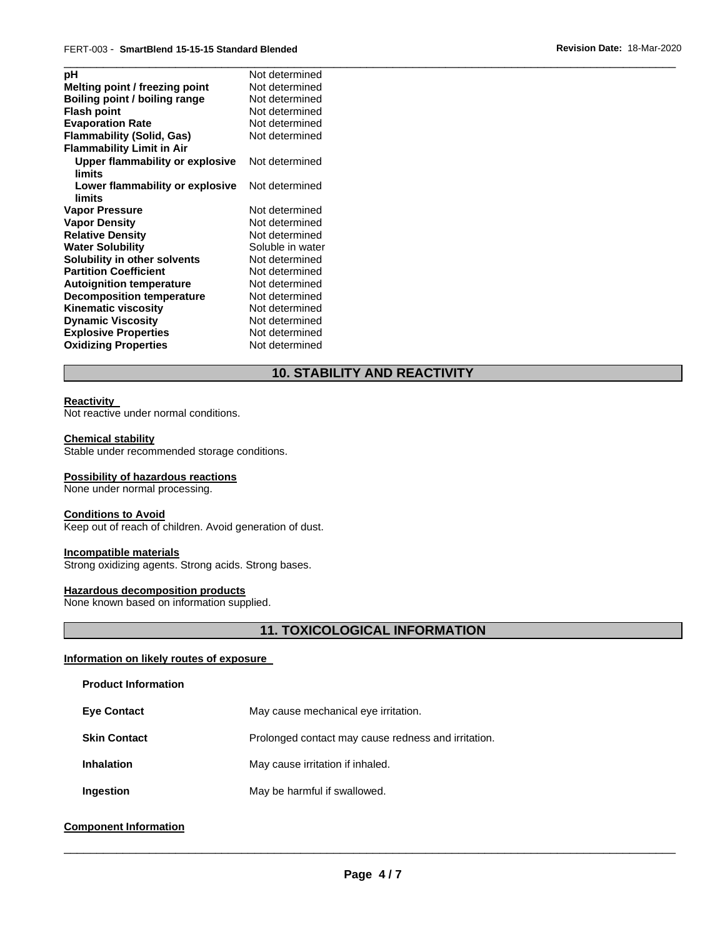| рH                                        | Not determined   |
|-------------------------------------------|------------------|
| Melting point / freezing point            | Not determined   |
| Boiling point / boiling range             | Not determined   |
| <b>Flash point</b>                        | Not determined   |
| <b>Evaporation Rate</b>                   | Not determined   |
| <b>Flammability (Solid, Gas)</b>          | Not determined   |
| <b>Flammability Limit in Air</b>          |                  |
| Upper flammability or explosive<br>limits | Not determined   |
| Lower flammability or explosive<br>limits | Not determined   |
| <b>Vapor Pressure</b>                     | Not determined   |
| <b>Vapor Density</b>                      | Not determined   |
| <b>Relative Density</b>                   | Not determined   |
| <b>Water Solubility</b>                   | Soluble in water |
| Solubility in other solvents              | Not determined   |
| <b>Partition Coefficient</b>              | Not determined   |
| <b>Autoignition temperature</b>           | Not determined   |
| <b>Decomposition temperature</b>          | Not determined   |
| <b>Kinematic viscosity</b>                | Not determined   |
| <b>Dynamic Viscosity</b>                  | Not determined   |
| <b>Explosive Properties</b>               | Not determined   |
| <b>Oxidizing Properties</b>               | Not determined   |
|                                           |                  |

# **10. STABILITY AND REACTIVITY**

#### **Reactivity**

Not reactive under normal conditions.

#### **Chemical stability**

Stable under recommended storage conditions.

#### **Possibility of hazardous reactions**

None under normal processing.

#### **Conditions to Avoid**

Keep out of reach of children. Avoid generation of dust.

#### **Incompatible materials**

Strong oxidizing agents. Strong acids. Strong bases.

#### **Hazardous decomposition products**

None known based on information supplied.

# **11. TOXICOLOGICAL INFORMATION**

#### **Information on likely routes of exposure**

#### **Product Information**

| <b>Eye Contact</b> | May cause mechanical eye irritation. |
|--------------------|--------------------------------------|
|                    |                                      |

- **Skin Contact Prolonged contact may cause redness and irritation.**
- **Inhalation May cause irritation if inhaled.**
- **Ingestion May be harmful if swallowed.**

#### **Component Information**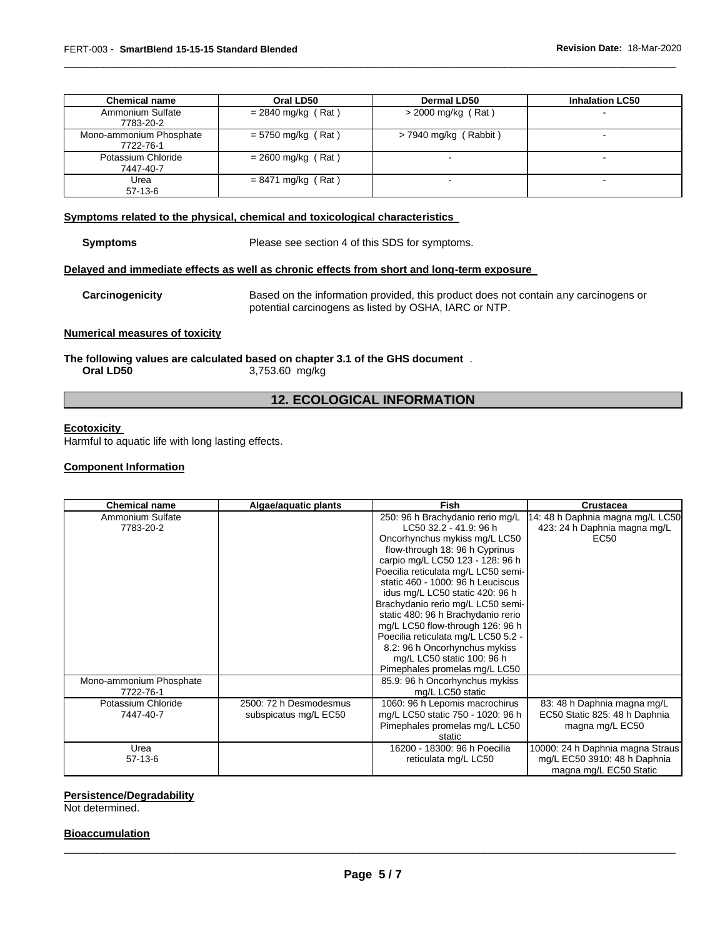| <b>Chemical name</b>                 | Oral LD50            | <b>Dermal LD50</b>      | <b>Inhalation LC50</b> |
|--------------------------------------|----------------------|-------------------------|------------------------|
| Ammonium Sulfate<br>7783-20-2        | $= 2840$ mg/kg (Rat) | $>$ 2000 mg/kg (Rat)    |                        |
| Mono-ammonium Phosphate<br>7722-76-1 | $= 5750$ mg/kg (Rat) | $>$ 7940 mg/kg (Rabbit) |                        |
| Potassium Chloride<br>7447-40-7      | $= 2600$ mg/kg (Rat) | $\,$                    |                        |
| Urea<br>$57-13-6$                    | $= 8471$ mg/kg (Rat) | -                       |                        |

\_\_\_\_\_\_\_\_\_\_\_\_\_\_\_\_\_\_\_\_\_\_\_\_\_\_\_\_\_\_\_\_\_\_\_\_\_\_\_\_\_\_\_\_\_\_\_\_\_\_\_\_\_\_\_\_\_\_\_\_\_\_\_\_\_\_\_\_\_\_\_\_\_\_\_\_\_\_\_\_\_\_\_\_\_\_\_\_\_\_\_\_\_

#### **Symptoms related to the physical, chemical and toxicological characteristics**

**Symptoms** Please see section 4 of this SDS for symptoms.

#### **Delayed and immediate effects as well as chronic effects from short and long-term exposure**

**Carcinogenicity** Based on the information provided, this product does not contain any carcinogens or potential carcinogens as listed by OSHA, IARC or NTP.

#### **Numerical measures of toxicity**

**The following values are calculated based on chapter 3.1 of the GHS document** . **Oral LD50** 3,753.60 mg/kg

# **12. ECOLOGICAL INFORMATION**

#### **Ecotoxicity**

Harmful to aquatic life with long lasting effects.

#### **Component Information**

| <b>Chemical name</b>    | Algae/aquatic plants   | <b>Fish</b>                         | <b>Crustacea</b>                 |
|-------------------------|------------------------|-------------------------------------|----------------------------------|
| Ammonium Sulfate        |                        | 250: 96 h Brachydanio rerio mg/L    | 14: 48 h Daphnia magna mg/L LC50 |
| 7783-20-2               |                        | LC50 32.2 - 41.9: 96 h              | 423: 24 h Daphnia magna mg/L     |
|                         |                        | Oncorhynchus mykiss mg/L LC50       | EC50                             |
|                         |                        | flow-through 18: 96 h Cyprinus      |                                  |
|                         |                        | carpio mg/L LC50 123 - 128: 96 h    |                                  |
|                         |                        | Poecilia reticulata mg/L LC50 semi- |                                  |
|                         |                        | static 460 - 1000: 96 h Leuciscus   |                                  |
|                         |                        | idus mg/L LC50 static 420: 96 h     |                                  |
|                         |                        | Brachydanio rerio mg/L LC50 semi-   |                                  |
|                         |                        | static 480: 96 h Brachydanio rerio  |                                  |
|                         |                        | mg/L LC50 flow-through 126: 96 h    |                                  |
|                         |                        | Poecilia reticulata mg/L LC50 5.2 - |                                  |
|                         |                        | 8.2: 96 h Oncorhynchus mykiss       |                                  |
|                         |                        | mg/L LC50 static 100: 96 h          |                                  |
|                         |                        | Pimephales promelas mg/L LC50       |                                  |
| Mono-ammonium Phosphate |                        | 85.9: 96 h Oncorhynchus mykiss      |                                  |
| 7722-76-1               |                        | mg/L LC50 static                    |                                  |
| Potassium Chloride      | 2500: 72 h Desmodesmus | 1060: 96 h Lepomis macrochirus      | 83: 48 h Daphnia magna mg/L      |
| 7447-40-7               | subspicatus mg/L EC50  | mg/L LC50 static 750 - 1020: 96 h   | EC50 Static 825: 48 h Daphnia    |
|                         |                        | Pimephales promelas mg/L LC50       | magna mg/L EC50                  |
|                         |                        | static                              |                                  |
| Urea                    |                        | 16200 - 18300: 96 h Poecilia        | 10000: 24 h Daphnia magna Straus |
| $57-13-6$               |                        | reticulata mg/L LC50                | mg/L EC50 3910: 48 h Daphnia     |
|                         |                        |                                     | magna mg/L EC50 Static           |

#### **Persistence/Degradability**

Not determined.

#### **Bioaccumulation**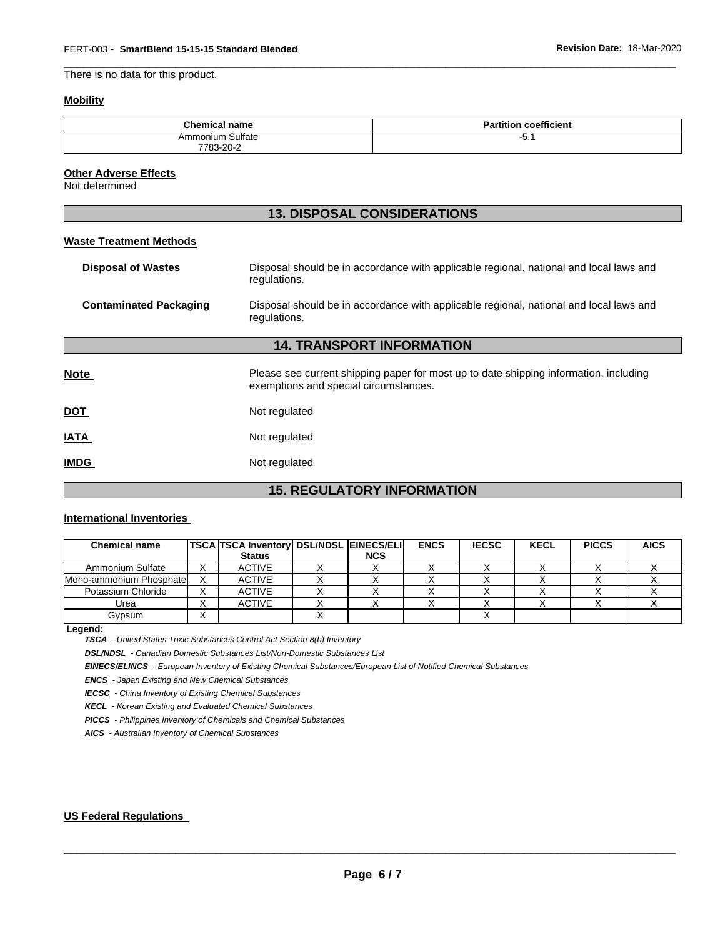There is no data for this product.

# **Mobility**

| <b>Chemical name</b> | <b>Partition coefficient</b> |
|----------------------|------------------------------|
| Ammonium Sulfate     | -<br>ັບ. .                   |
| 7783-20-2<br>$\sim$  |                              |

\_\_\_\_\_\_\_\_\_\_\_\_\_\_\_\_\_\_\_\_\_\_\_\_\_\_\_\_\_\_\_\_\_\_\_\_\_\_\_\_\_\_\_\_\_\_\_\_\_\_\_\_\_\_\_\_\_\_\_\_\_\_\_\_\_\_\_\_\_\_\_\_\_\_\_\_\_\_\_\_\_\_\_\_\_\_\_\_\_\_\_\_\_

#### **Other Adverse Effects**

Not determined

|                                  | <b>13. DISPOSAL CONSIDERATIONS</b>                                                                                             |  |  |  |
|----------------------------------|--------------------------------------------------------------------------------------------------------------------------------|--|--|--|
| <b>Waste Treatment Methods</b>   |                                                                                                                                |  |  |  |
| <b>Disposal of Wastes</b>        | Disposal should be in accordance with applicable regional, national and local laws and<br>regulations.                         |  |  |  |
| <b>Contaminated Packaging</b>    | Disposal should be in accordance with applicable regional, national and local laws and<br>regulations.                         |  |  |  |
| <b>14. TRANSPORT INFORMATION</b> |                                                                                                                                |  |  |  |
| <b>Note</b>                      | Please see current shipping paper for most up to date shipping information, including<br>exemptions and special circumstances. |  |  |  |
| <b>DOT</b>                       | Not regulated                                                                                                                  |  |  |  |
| <b>IATA</b>                      | Not regulated                                                                                                                  |  |  |  |
| <b>IMDG</b>                      | Not regulated                                                                                                                  |  |  |  |

# **15. REGULATORY INFORMATION**

#### **International Inventories**

| <b>Chemical name</b>    |   | <b>TSCA TSCA Inventory DSL/NDSL EINECS/ELI</b><br><b>Status</b> | <b>NCS</b> | <b>ENCS</b> | <b>IECSC</b> | <b>KECL</b> | <b>PICCS</b> | <b>AICS</b> |
|-------------------------|---|-----------------------------------------------------------------|------------|-------------|--------------|-------------|--------------|-------------|
| Ammonium Sulfate        |   | <b>ACTIVE</b>                                                   |            |             |              |             |              |             |
| Mono-ammonium Phosphate |   | <b>ACTIVE</b>                                                   |            |             |              |             |              |             |
| Potassium Chloride      |   | <b>ACTIVE</b>                                                   |            |             |              |             |              |             |
| Urea                    | ⌒ | <b>ACTIVE</b>                                                   |            |             |              |             |              |             |
| Gypsum                  | ⌒ |                                                                 |            |             |              |             |              |             |

**Legend:** 

*TSCA - United States Toxic Substances Control Act Section 8(b) Inventory* 

*DSL/NDSL - Canadian Domestic Substances List/Non-Domestic Substances List* 

*EINECS/ELINCS - European Inventory of Existing Chemical Substances/European List of Notified Chemical Substances* 

*ENCS - Japan Existing and New Chemical Substances* 

*IECSC - China Inventory of Existing Chemical Substances* 

*KECL - Korean Existing and Evaluated Chemical Substances* 

*PICCS - Philippines Inventory of Chemicals and Chemical Substances* 

*AICS - Australian Inventory of Chemical Substances* 

#### **US Federal Regulations**